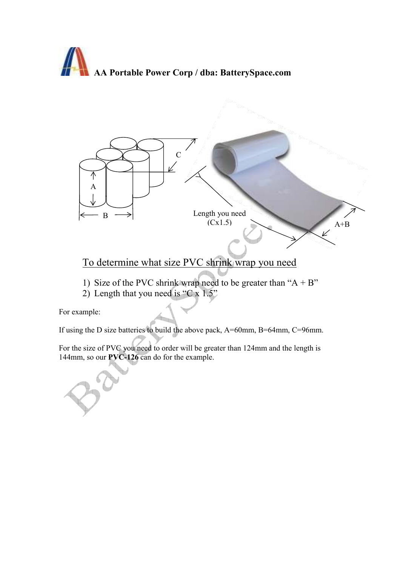## AA Portable Power Corp / dba: BatterySpace.com



## To determine what size PVC shrink wrap you need

- 1) Size of the PVC shrink wrap need to be greater than " $A + B$ "
- 2) Length that you need is "C  $\bar{x}$  1.5"

For example:

If using the D size batteries to build the above pack, A=60mm, B=64mm, C=96mm.

For the size of PVC you need to order will be greater than 124mm and the length is 144mm, so our PVC-126 can do for the example.